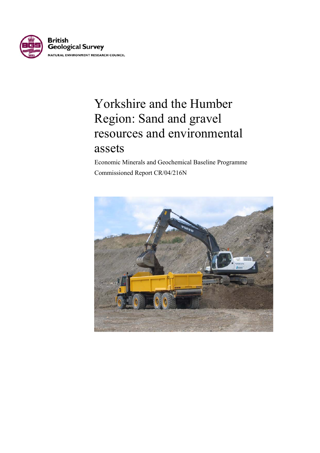

# Yorkshire and the Humber Region: Sand and gravel resources and environmental assets

 Economic Minerals and Geochemical Baseline Programme Commissioned Report CR/04/216N

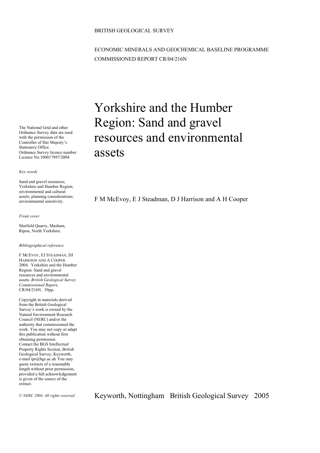#### BRITISH GEOLOGICAL SURVEY

### ECONOMIC MINERALS AND GEOCHEMICAL BASELINE PROGRAMME COMMISSIONED REPORT CR/04/216N

The National Grid and other Ordnance Survey data are used with the permission of the Controller of Her Majesty's Stationery Office. Ordnance Survey licence number Licence No:100017897/2004

*Key words* 

Sand and gravel resources; Yorkshire and Humber Region; environmental and cultural assets; planning considerations; environmental sensitivity.

#### *Front cover*

Marfield Quarry, Masham, Ripon, North Yorkshire.

#### *Bibliographical reference*

F MCEVOY, EJ STEADMAN, DJ HARRISON AND A COOPER. 2004. Yorkshire and the Humber Region: Sand and gravel resources and environmental assets. *British Geological Survey Commissioned Report*, CR/04/216N. 39pp**.**

Copyright in materials derived from the British Geological Survey's work is owned by the Natural Environment Research Council (NERC) and/or the authority that commissioned the work. You may not copy or adapt this publication without first obtaining permission. Contact the BGS Intellectual Property Rights Section, British Geological Survey, Keyworth, e-mail ipr@bgs.ac.uk You may quote extracts of a reasonable length without prior permission, provided a full acknowledgement is given of the source of the extract.

# Yorkshire and the Humber Region: Sand and gravel resources and environmental assets

F M McEvoy, E J Steadman, D J Harrison and A H Cooper

© *NERC 2004. All rights reserved* Keyworth, Nottingham British Geological Survey 2005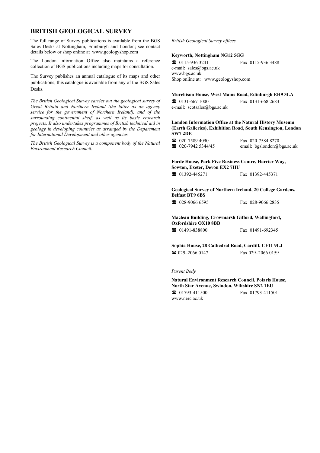#### **BRITISH GEOLOGICAL SURVEY**

The full range of Survey publications is available from the BGS Sales Desks at Nottingham, Edinburgh and London; see contact details below or shop online at www.geologyshop.com

The London Information Office also maintains a reference collection of BGS publications including maps for consultation.

The Survey publishes an annual catalogue of its maps and other publications; this catalogue is available from any of the BGS Sales Desks.

*The British Geological Survey carries out the geological survey of Great Britain and Northern Ireland (the latter as an agency service for the government of Northern Ireland), and of the surrounding continental shelf, as well as its basic research projects. It also undertakes programmes of British technical aid in geology in developing countries as arranged by the Department for International Development and other agencies.* 

*The British Geological Survey is a component body of the Natural Environment Research Council.* 

### *British Geological Survey offices*

#### **Keyworth, Nottingham NG12 5GG**

 0115-936 3241 Fax 0115-936 3488 e-mail: sales@bgs.ac.uk www.bgs.ac.uk Shop online at: www.geologyshop.com

#### **Murchison House, West Mains Road, Edinburgh EH9 3LA**

| $\mathbf{R}$ 0131-667 1000  | Fax 0131-668 2683 |
|-----------------------------|-------------------|
| e-mail: scotsales@bgs.ac.uk |                   |

#### **London Information Office at the Natural History Museum (Earth Galleries), Exhibition Road, South Kensington, London SW7 2DE**

| $\mathbf{R}$ 020-7589 4090    | Fax 020-7584 8270          |
|-------------------------------|----------------------------|
| $\mathbf{R}$ 020-7942 5344/45 | email: bgslondon@bgs.ac.uk |

#### **Forde House, Park Five Business Centre, Harrier Way, Sowton, Exeter, Devon EX2 7HU**

01392-445271 Fax 01392-445371

#### **Geological Survey of Northern Ireland, 20 College Gardens, Belfast BT9 6BS**

028-9066 6595 Fax 028-9066 2835

#### **Maclean Building, Crowmarsh Gifford, Wallingford, Oxfordshire OX10 8BB**

01491-838800 Fax 01491-692345

#### **Sophia House, 28 Cathedral Road, Cardiff, CF11 9LJ**  029–2066 0147 Fax 029–2066 0159

*Parent Body* 

**Natural Environment Research Council, Polaris House, North Star Avenue, Swindon, Wiltshire SN2 1EU**  01793-411500 Fax 01793-411501 www.nerc.ac.uk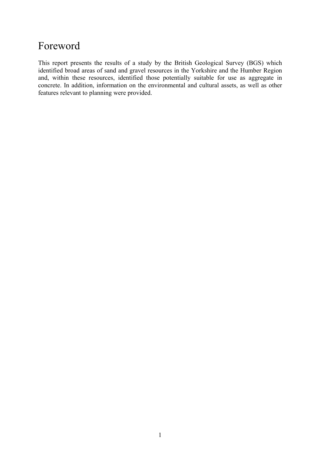### Foreword

This report presents the results of a study by the British Geological Survey (BGS) which identified broad areas of sand and gravel resources in the Yorkshire and the Humber Region and, within these resources, identified those potentially suitable for use as aggregate in concrete. In addition, information on the environmental and cultural assets, as well as other features relevant to planning were provided.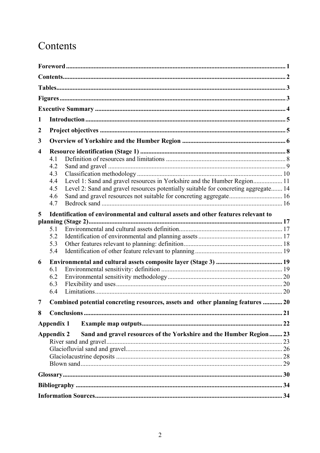## Contents

| 1 |                                                                                            |  |
|---|--------------------------------------------------------------------------------------------|--|
| 2 |                                                                                            |  |
| 3 |                                                                                            |  |
| 4 |                                                                                            |  |
|   | 4.1                                                                                        |  |
|   | 4.2                                                                                        |  |
|   | 4.3                                                                                        |  |
|   | 4.4                                                                                        |  |
|   | Level 2: Sand and gravel resources potentially suitable for concreting aggregate 14<br>4.5 |  |
|   | 4.6                                                                                        |  |
|   | 4.7                                                                                        |  |
| 5 | Identification of environmental and cultural assets and other features relevant to         |  |
|   |                                                                                            |  |
|   | 5.1                                                                                        |  |
|   | 5.2                                                                                        |  |
|   | 5.3                                                                                        |  |
|   | 5.4                                                                                        |  |
| 6 |                                                                                            |  |
|   | 6.1                                                                                        |  |
|   | 6.2                                                                                        |  |
|   | 6.3                                                                                        |  |
|   | 6.4                                                                                        |  |
| 7 | Combined potential concreting resources, assets and other planning features  20            |  |
| 8 |                                                                                            |  |
|   | Appendix 1                                                                                 |  |
|   | Sand and gravel resources of the Yorkshire and the Humber Region 23<br><b>Appendix 2</b>   |  |
|   |                                                                                            |  |
|   |                                                                                            |  |
|   |                                                                                            |  |
|   |                                                                                            |  |
|   | $\frac{1}{30}$                                                                             |  |
|   |                                                                                            |  |
|   |                                                                                            |  |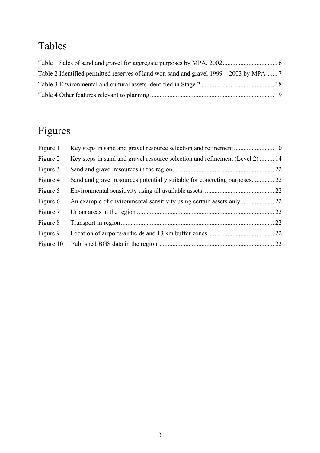## Tables

# Figures

| Figure 1  |                                                                              |  |
|-----------|------------------------------------------------------------------------------|--|
| Figure 2  | Key steps in sand and gravel resource selection and refinement (Level 2)  14 |  |
| Figure 3  |                                                                              |  |
| Figure 4  |                                                                              |  |
| Figure 5  |                                                                              |  |
| Figure 6  |                                                                              |  |
| Figure 7  |                                                                              |  |
| Figure 8  |                                                                              |  |
| Figure 9  |                                                                              |  |
| Figure 10 |                                                                              |  |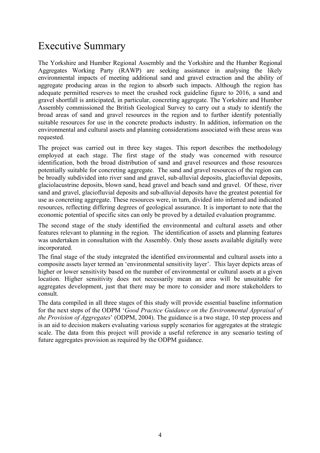### Executive Summary

The Yorkshire and Humber Regional Assembly and the Yorkshire and the Humber Regional Aggregates Working Party (RAWP) are seeking assistance in analysing the likely environmental impacts of meeting additional sand and gravel extraction and the ability of aggregate producing areas in the region to absorb such impacts. Although the region has adequate permitted reserves to meet the crushed rock guideline figure to 2016, a sand and gravel shortfall is anticipated, in particular, concreting aggregate. The Yorkshire and Humber Assembly commissioned the British Geological Survey to carry out a study to identify the broad areas of sand and gravel resources in the region and to further identify potentially suitable resources for use in the concrete products industry. In addition, information on the environmental and cultural assets and planning considerations associated with these areas was requested.

The project was carried out in three key stages. This report describes the methodology employed at each stage. The first stage of the study was concerned with resource identification, both the broad distribution of sand and gravel resources and those resources potentially suitable for concreting aggregate. The sand and gravel resources of the region can be broadly subdivided into river sand and gravel, sub-alluvial deposits, glaciofluvial deposits, glaciolacustrine deposits, blown sand, head gravel and beach sand and gravel. Of these, river sand and gravel, glaciofluvial deposits and sub-alluvial deposits have the greatest potential for use as concreting aggregate. These resources were, in turn, divided into inferred and indicated resources, reflecting differing degrees of geological assurance. It is important to note that the economic potential of specific sites can only be proved by a detailed evaluation programme.

The second stage of the study identified the environmental and cultural assets and other features relevant to planning in the region. The identification of assets and planning features was undertaken in consultation with the Assembly. Only those assets available digitally were incorporated.

The final stage of the study integrated the identified environmental and cultural assets into a composite assets layer termed an 'environmental sensitivity layer'. This layer depicts areas of higher or lower sensitivity based on the number of environmental or cultural assets at a given location. Higher sensitivity does not necessarily mean an area will be unsuitable for aggregates development, just that there may be more to consider and more stakeholders to consult.

The data compiled in all three stages of this study will provide essential baseline information for the next steps of the ODPM '*Good Practice Guidance on the Environmental Appraisal of the Provision of Aggregates*' (ODPM, 2004). The guidance is a two stage, 10 step process and is an aid to decision makers evaluating various supply scenarios for aggregates at the strategic scale. The data from this project will provide a useful reference in any scenario testing of future aggregates provision as required by the ODPM guidance.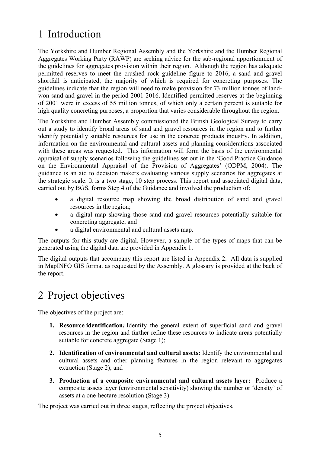## 1 Introduction

The Yorkshire and Humber Regional Assembly and the Yorkshire and the Humber Regional Aggregates Working Party (RAWP) are seeking advice for the sub-regional apportionment of the guidelines for aggregates provision within their region. Although the region has adequate permitted reserves to meet the crushed rock guideline figure to 2016, a sand and gravel shortfall is anticipated, the majority of which is required for concreting purposes. The guidelines indicate that the region will need to make provision for 73 million tonnes of landwon sand and gravel in the period 2001-2016. Identified permitted reserves at the beginning of 2001 were in excess of 55 million tonnes, of which only a certain percent is suitable for high quality concreting purposes, a proportion that varies considerable throughout the region.

The Yorkshire and Humber Assembly commissioned the British Geological Survey to carry out a study to identify broad areas of sand and gravel resources in the region and to further identify potentially suitable resources for use in the concrete products industry. In addition, information on the environmental and cultural assets and planning considerations associated with these areas was requested. This information will form the basis of the environmental appraisal of supply scenarios following the guidelines set out in the 'Good Practice Guidance on the Environmental Appraisal of the Provision of Aggregates' (ODPM, 2004). The guidance is an aid to decision makers evaluating various supply scenarios for aggregates at the strategic scale. It is a two stage, 10 step process. This report and associated digital data, carried out by BGS, forms Step 4 of the Guidance and involved the production of:

- a digital resource map showing the broad distribution of sand and gravel resources in the region;
- a digital map showing those sand and gravel resources potentially suitable for concreting aggregate; and
- a digital environmental and cultural assets map.

The outputs for this study are digital. However, a sample of the types of maps that can be generated using the digital data are provided in Appendix 1.

The digital outputs that accompany this report are listed in Appendix 2. All data is supplied in MapINFO GIS format as requested by the Assembly. A glossary is provided at the back of the report.

## 2 Project objectives

The objectives of the project are:

- **1. Resource identification***:* Identify the general extent of superficial sand and gravel resources in the region and further refine these resources to indicate areas potentially suitable for concrete aggregate (Stage 1);
- **2. Identification of environmental and cultural assets:** Identify the environmental and cultural assets and other planning features in the region relevant to aggregates extraction (Stage 2); and
- **3. Production of a composite environmental and cultural assets layer:** Produce a composite assets layer (environmental sensitivity) showing the number or 'density' of assets at a one-hectare resolution (Stage 3).

The project was carried out in three stages, reflecting the project objectives.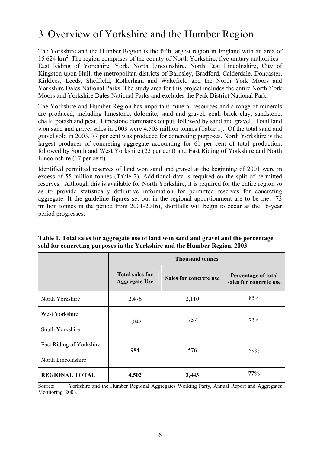### 3 Overview of Yorkshire and the Humber Region

The Yorkshire and the Humber Region is the fifth largest region in England with an area of 15 624 km2 . The region comprises of the county of North Yorkshire, five unitary authorities - East Riding of Yorkshire, York, North Lincolnshire, North East Lincolnshire, City of Kingston upon Hull, the metropolitan districts of Barnsley, Bradford, Calderdale, Doncaster, Kirklees, Leeds, Sheffield, Rotherham and Wakefield and the North York Moors and Yorkshire Dales National Parks. The study area for this project includes the entire North York Moors and Yorkshire Dales National Parks and excludes the Peak District National Park.

The Yorkshire and Humber Region has important mineral resources and a range of minerals are produced, including limestone, dolomite, sand and gravel, coal, brick clay, sandstone, chalk, potash and peat. Limestone dominates output, followed by sand and gravel. Total land won sand and gravel sales in 2003 were 4.503 million tonnes (Table 1). Of the total sand and gravel sold in 2003, 77 per cent was produced for concreting purposes. North Yorkshire is the largest producer of concreting aggregate accounting for 61 per cent of total production, followed by South and West Yorkshire (22 per cent) and East Riding of Yorkshire and North Lincolnshire (17 per cent).

Identified permitted reserves of land won sand and gravel at the beginning of 2001 were in excess of 55 million tonnes (Table 2). Additional data is required on the split of permitted reserves. Although this is available for North Yorkshire, it is required for the entire region so as to provide statistically definitive information for permitted reserves for concreting aggregate. If the guideline figures set out in the regional apportionment are to be met (73 million tonnes in the period from 2001-2016), shortfalls will begin to occur as the 16-year period progresses.

|                          | <b>Thousand tonnes</b>                         |                               |                                               |  |
|--------------------------|------------------------------------------------|-------------------------------|-----------------------------------------------|--|
|                          | <b>Total sales for</b><br><b>Aggregate Use</b> | <b>Sales for concrete use</b> | Percentage of total<br>sales for concrete use |  |
| North Yorkshire          | 2,476                                          | 2,110                         | 85%                                           |  |
| West Yorkshire           |                                                | 757                           | 73%                                           |  |
| South Yorkshire          | 1,042                                          |                               |                                               |  |
| East Riding of Yorkshire | 984                                            | 576                           | 59%                                           |  |
| North Lincolnshire       |                                                |                               |                                               |  |
| <b>REGIONAL TOTAL</b>    | 4,502                                          | 3,443                         | 77%                                           |  |

**Table 1. Total sales for aggregate use of land won sand and gravel and the percentage sold for concreting purposes in the Yorkshire and the Humber Region, 2003** 

Source: Yorkshire and the Humber Regional Aggregates Working Party, Annual Report and Aggregates Monitoring 2003.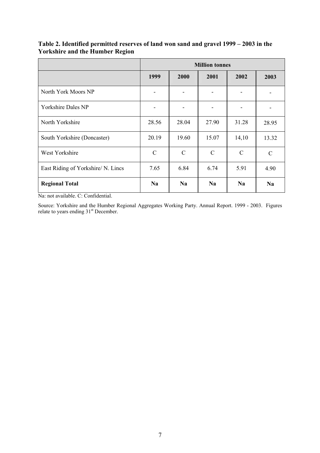|                                    | <b>Million tonnes</b> |               |               |               |               |
|------------------------------------|-----------------------|---------------|---------------|---------------|---------------|
|                                    | 1999                  | 2000          | 2001          | 2002          | 2003          |
| North York Moors NP                |                       |               |               |               |               |
| <b>Yorkshire Dales NP</b>          |                       | -             |               |               |               |
| North Yorkshire                    | 28.56                 | 28.04         | 27.90         | 31.28         | 28.95         |
| South Yorkshire (Doncaster)        | 20.19                 | 19.60         | 15.07         | 14,10         | 13.32         |
| West Yorkshire                     | $\mathcal{C}$         | $\mathcal{C}$ | $\mathcal{C}$ | $\mathcal{C}$ | $\mathcal{C}$ |
| East Riding of Yorkshire/ N. Lincs | 7.65                  | 6.84          | 6.74          | 5.91          | 4.90          |
| <b>Regional Total</b>              | <b>Na</b>             | <b>Na</b>     | <b>Na</b>     | <b>Na</b>     | <b>Na</b>     |

### **Table 2. Identified permitted reserves of land won sand and gravel 1999 – 2003 in the Yorkshire and the Humber Region**

Na: not available. C: Confidential.

Source: Yorkshire and the Humber Regional Aggregates Working Party. Annual Report. 1999 - 2003. Figures relate to years ending 31<sup>st</sup> December.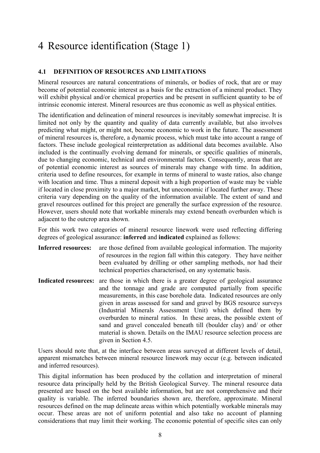## 4 Resource identification (Stage 1)

### **4.1 DEFINITION OF RESOURCES AND LIMITATIONS**

Mineral resources are natural concentrations of minerals, or bodies of rock, that are or may become of potential economic interest as a basis for the extraction of a mineral product. They will exhibit physical and/or chemical properties and be present in sufficient quantity to be of intrinsic economic interest. Mineral resources are thus economic as well as physical entities.

The identification and delineation of mineral resources is inevitably somewhat imprecise. It is limited not only by the quantity and quality of data currently available, but also involves predicting what might, or might not, become economic to work in the future. The assessment of mineral resources is, therefore, a dynamic process, which must take into account a range of factors. These include geological reinterpretation as additional data becomes available. Also included is the continually evolving demand for minerals, or specific qualities of minerals, due to changing economic, technical and environmental factors. Consequently, areas that are of potential economic interest as sources of minerals may change with time. In addition, criteria used to define resources, for example in terms of mineral to waste ratios, also change with location and time. Thus a mineral deposit with a high proportion of waste may be viable if located in close proximity to a major market, but uneconomic if located further away. These criteria vary depending on the quality of the information available. The extent of sand and gravel resources outlined for this project are generally the surface expression of the resource. However, users should note that workable minerals may extend beneath overburden which is adjacent to the outcrop area shown.

For this work two categories of mineral resource linework were used reflecting differing degrees of geological assurance: **inferred** and **indicated** explained as follows:

- **Inferred resources:** are those defined from available geological information. The majority of resources in the region fall within this category. They have neither been evaluated by drilling or other sampling methods, nor had their technical properties characterised, on any systematic basis.
- **Indicated resources:** are those in which there is a greater degree of geological assurance and the tonnage and grade are computed partially from specific measurements, in this case borehole data. Indicated resources are only given in areas assessed for sand and gravel by BGS resource surveys (Industrial Minerals Assessment Unit) which defined them by overburden to mineral ratios. In these areas, the possible extent of sand and gravel concealed beneath till (boulder clay) and/ or other material is shown. Details on the IMAU resource selection process are given in Section 4.5.

Users should note that, at the interface between areas surveyed at different levels of detail, apparent mismatches between mineral resource linework may occur (e.g. between indicated and inferred resources).

This digital information has been produced by the collation and interpretation of mineral resource data principally held by the British Geological Survey. The mineral resource data presented are based on the best available information, but are not comprehensive and their quality is variable. The inferred boundaries shown are, therefore, approximate. Mineral resources defined on the map delineate areas within which potentially workable minerals may occur. These areas are not of uniform potential and also take no account of planning considerations that may limit their working. The economic potential of specific sites can only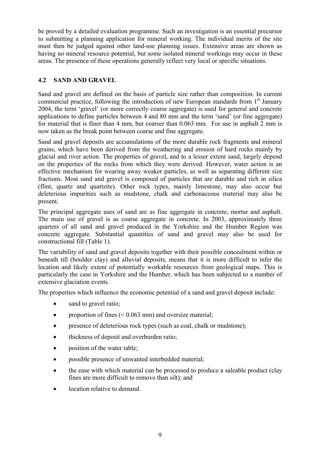be proved by a detailed evaluation programme. Such an investigation is an essential precursor to submitting a planning application for mineral working. The individual merits of the site must then be judged against other land-use planning issues. Extensive areas are shown as having no mineral resource potential, but some isolated mineral workings may occur in these areas. The presence of these operations generally reflect very local or specific situations.

### **4.2 SAND AND GRAVEL**

Sand and gravel are defined on the basis of particle size rather than composition. In current commercial practice, following the introduction of new European standards from  $1<sup>st</sup>$  January 2004, the term 'gravel' (or more correctly coarse aggregate) is used for general and concrete applications to define particles between 4 and 80 mm and the term 'sand' (or fine aggregate) for material that is finer than 4 mm, but coarser than 0.063 mm. For use in asphalt 2 mm is now taken as the break point between coarse and fine aggregate.

Sand and gravel deposits are accumulations of the more durable rock fragments and mineral grains, which have been derived from the weathering and erosion of hard rocks mainly by glacial and river action. The properties of gravel, and to a lesser extent sand, largely depend on the properties of the rocks from which they were derived. However, water action is an effective mechanism for wearing away weaker particles, as well as separating different size fractions. Most sand and gravel is composed of particles that are durable and rich in silica (flint, quartz and quartzite). Other rock types, mainly limestone, may also occur but deleterious impurities such as mudstone, chalk and carbonaceous material may also be present.

The principal aggregate uses of sand are as fine aggregate in concrete, mortar and asphalt. The main use of gravel is as coarse aggregate in concrete. In 2003, approximately three quarters of all sand and gravel produced in the Yorkshire and the Humber Region was concrete aggregate. Substantial quantities of sand and gravel may also be used for constructional fill (Table 1).

The variability of sand and gravel deposits together with their possible concealment within or beneath till (boulder clay) and alluvial deposits, means that it is more difficult to infer the location and likely extent of potentially workable resources from geological maps. This is particularly the case in Yorkshire and the Humber, which has been subjected to a number of extensive glaciation events.

The properties which influence the economic potential of a sand and gravel deposit include:

- sand to gravel ratio;
- proportion of fines  $( $0.063$  mm) and oversize material;$
- presence of deleterious rock types (such as coal, chalk or mudstone);
- thickness of deposit and overburden ratio;
- position of the water table;
- possible presence of unwanted interbedded material;
- the ease with which material can be processed to produce a saleable product (clay fines are more difficult to remove than silt); and
- location relative to demand.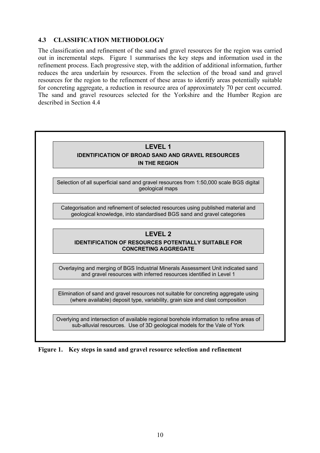#### **4.3 CLASSIFICATION METHODOLOGY**

The classification and refinement of the sand and gravel resources for the region was carried out in incremental steps. Figure 1 summarises the key steps and information used in the refinement process. Each progressive step, with the addition of additional information, further reduces the area underlain by resources. From the selection of the broad sand and gravel resources for the region to the refinement of these areas to identify areas potentially suitable for concreting aggregate, a reduction in resource area of approximately 70 per cent occurred. The sand and gravel resources selected for the Yorkshire and the Humber Region are described in Section 4.4

| <b>LEVEL 1</b><br><b>IDENTIFICATION OF BROAD SAND AND GRAVEL RESOURCES</b><br><b>IN THE REGION</b>                                                                    |
|-----------------------------------------------------------------------------------------------------------------------------------------------------------------------|
| Selection of all superficial sand and gravel resources from 1:50,000 scale BGS digital<br>geological maps                                                             |
| Categorisation and refinement of selected resources using published material and<br>geological knowledge, into standardised BGS sand and gravel categories            |
| <b>LEVEL 2</b><br><b>IDENTIFICATION OF RESOURCES POTENTIALLY SUITABLE FOR</b><br><b>CONCRETING AGGREGATE</b>                                                          |
| Overlaying and merging of BGS Industrial Minerals Assessment Unit indicated sand<br>and gravel resources with inferred resources identified in Level 1                |
| Elimination of sand and gravel resources not suitable for concreting aggregate using<br>(where available) deposit type, variability, grain size and clast composition |

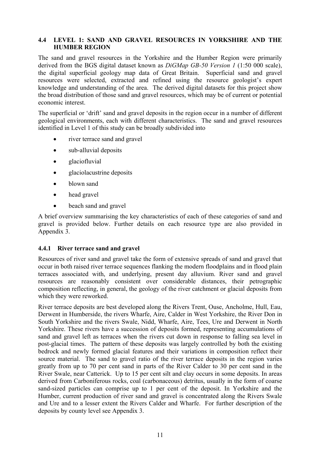### **4.4 LEVEL 1: SAND AND GRAVEL RESOURCES IN YORKSHIRE AND THE HUMBER REGION**

The sand and gravel resources in the Yorkshire and the Humber Region were primarily derived from the BGS digital dataset known as *DiGMap GB-50 Version 1* (1:50 000 scale), the digital superficial geology map data of Great Britain. Superficial sand and gravel resources were selected, extracted and refined using the resource geologist's expert knowledge and understanding of the area. The derived digital datasets for this project show the broad distribution of those sand and gravel resources, which may be of current or potential economic interest.

The superficial or 'drift' sand and gravel deposits in the region occur in a number of different geological environments, each with different characteristics. The sand and gravel resources identified in Level 1 of this study can be broadly subdivided into

- river terrace sand and gravel
- sub-alluvial deposits
- glaciofluvial
- glaciolacustrine deposits
- blown sand
- head gravel
- beach sand and gravel

A brief overview summarising the key characteristics of each of these categories of sand and gravel is provided below. Further details on each resource type are also provided in Appendix 3.

#### **4.4.1 River terrace sand and gravel**

Resources of river sand and gravel take the form of extensive spreads of sand and gravel that occur in both raised river terrace sequences flanking the modern floodplains and in flood plain terraces associated with, and underlying, present day alluvium. River sand and gravel resources are reasonably consistent over considerable distances, their petrographic composition reflecting, in general, the geology of the river catchment or glacial deposits from which they were reworked.

River terrace deposits are best developed along the Rivers Trent, Ouse, Ancholme, Hull, Eau, Derwent in Humberside, the rivers Wharfe, Aire, Calder in West Yorkshire, the River Don in South Yorkshire and the rivers Swale, Nidd, Wharfe, Aire, Tees, Ure and Derwent in North Yorkshire. These rivers have a succession of deposits formed, representing accumulations of sand and gravel left as terraces when the rivers cut down in response to falling sea level in post-glacial times. The pattern of these deposits was largely controlled by both the existing bedrock and newly formed glacial features and their variations in composition reflect their source material. The sand to gravel ratio of the river terrace deposits in the region varies greatly from up to 70 per cent sand in parts of the River Calder to 30 per cent sand in the River Swale, near Catterick. Up to 15 per cent silt and clay occurs in some deposits. In areas derived from Carboniferous rocks, coal (carbonaceous) detritus, usually in the form of coarse sand-sized particles can comprise up to 1 per cent of the deposit. In Yorkshire and the Humber, current production of river sand and gravel is concentrated along the Rivers Swale and Ure and to a lesser extent the Rivers Calder and Wharfe. For further description of the deposits by county level see Appendix 3.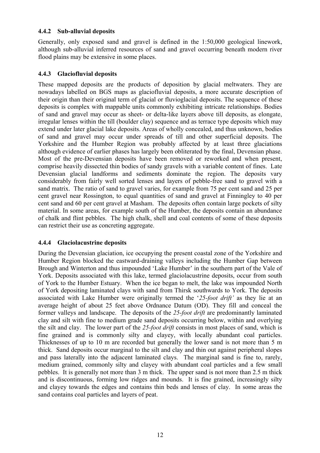### **4.4.2 Sub-alluvial deposits**

Generally, only exposed sand and gravel is defined in the 1:50,000 geological linework, although sub-alluvial inferred resources of sand and gravel occurring beneath modern river flood plains may be extensive in some places.

### **4.4.3 Glaciofluvial deposits**

These mapped deposits are the products of deposition by glacial meltwaters. They are nowadays labelled on BGS maps as glaciofluvial deposits, a more accurate description of their origin than their original term of glacial or fluvioglacial deposits. The sequence of these deposits is complex with mappable units commonly exhibiting intricate relationships. Bodies of sand and gravel may occur as sheet- or delta-like layers above till deposits, as elongate, irregular lenses within the till (boulder clay) sequence and as terrace type deposits which may extend under later glacial lake deposits. Areas of wholly concealed, and thus unknown, bodies of sand and gravel may occur under spreads of till and other superficial deposits. The Yorkshire and the Humber Region was probably affected by at least three glaciations although evidence of earlier phases has largely been obliterated by the final, Devensian phase. Most of the pre-Devensian deposits have been removed or reworked and when present, comprise heavily dissected thin bodies of sandy gravels with a variable content of fines. Late Devensian glacial landforms and sediments dominate the region. The deposits vary considerably from fairly well sorted lenses and layers of pebble-free sand to gravel with a sand matrix. The ratio of sand to gravel varies, for example from 75 per cent sand and 25 per cent gravel near Rossington, to equal quantities of sand and gravel at Finningley to 40 per cent sand and 60 per cent gravel at Masham. The deposits often contain large pockets of silty material. In some areas, for example south of the Humber, the deposits contain an abundance of chalk and flint pebbles. The high chalk, shell and coal contents of some of these deposits can restrict their use as concreting aggregate.

#### **4.4.4 Glaciolacustrine deposits**

During the Devensian glaciation, ice occupying the present coastal zone of the Yorkshire and Humber Region blocked the eastward-draining valleys including the Humber Gap between Brough and Winterton and thus impounded 'Lake Humber' in the southern part of the Vale of York. Deposits associated with this lake, termed glaciolacustrine deposits, occur from south of York to the Humber Estuary. When the ice began to melt, the lake was impounded North of York depositing laminated clays with sand from Thirsk southwards to York. The deposits associated with Lake Humber were originally termed the '*25-foot drift'* as they lie at an average height of about 25 feet above Ordnance Datum (OD). They fill and conceal the former valleys and landscape. The deposits of the *25-foot drift* are predominantly laminated clay and silt with fine to medium grade sand deposits occurring below, within and overlying the silt and clay. The lower part of the *25-foot drift* consists in most places of sand, which is fine grained and is commonly silty and clayey, with locally abundant coal particles. Thicknesses of up to 10 m are recorded but generally the lower sand is not more than 5 m thick. Sand deposits occur marginal to the silt and clay and thin out against peripheral slopes and pass laterally into the adjacent laminated clays. The marginal sand is fine to, rarely, medium grained, commonly silty and clayey with abundant coal particles and a few small pebbles. It is generally not more than 3 m thick. The upper sand is not more than 2.5 m thick and is discontinuous, forming low ridges and mounds. It is fine grained, increasingly silty and clayey towards the edges and contains thin beds and lenses of clay. In some areas the sand contains coal particles and layers of peat.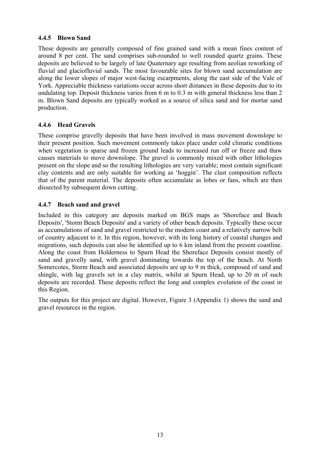#### **4.4.5 Blown Sand**

These deposits are generally composed of fine grained sand with a mean fines content of around 8 per cent. The sand comprises sub-rounded to well rounded quartz grains. These deposits are believed to be largely of late Quaternary age resulting from aeolian reworking of fluvial and glaciofluvial sands. The most favourable sites for blown sand accumulation are along the lower slopes of major west-facing escarpments, along the east side of the Vale of York. Appreciable thickness variations occur across short distances in these deposits due to its undulating top. Deposit thickness varies from 6 m to 0.3 m with general thickness less than 2 m. Blown Sand deposits are typically worked as a source of silica sand and for mortar sand production.

### **4.4.6 Head Gravels**

These comprise gravelly deposits that have been involved in mass movement downslope to their present position. Such movement commonly takes place under cold climatic conditions when vegetation is sparse and frozen ground leads to increased run off or freeze and thaw causes materials to move downslope. The gravel is commonly mixed with other lithologies present on the slope and so the resulting lithologies are very variable; most contain significant clay contents and are only suitable for working as 'hoggin'. The clast composition reflects that of the parent material. The deposits often accumulate as lobes or fans, which are then dissected by subsequent down cutting.

### **4.4.7 Beach sand and gravel**

Included in this category are deposits marked on BGS maps as 'Shoreface and Beach Deposits', 'Storm Beach Deposits' and a variety of other beach deposits. Typically these occur as accumulations of sand and gravel restricted to the modern coast and a relatively narrow belt of country adjacent to it. In this region, however, with its long history of coastal changes and migrations, such deposits can also be identified up to 6 km inland from the present coastline. Along the coast from Holderness to Spurn Head the Shoreface Deposits consist mostly of sand and gravelly sand, with gravel dominating towards the top of the beach. At North Somercotes, Storm Beach and associated deposits are up to 9 m thick, composed of sand and shingle, with lag gravels set in a clay matrix, whilst at Spurn Head, up to 20 m of such deposits are recorded. These deposits reflect the long and complex evolution of the coast in this Region.

The outputs for this project are digital. However, Figure 3 (Appendix 1) shows the sand and gravel resources in the region.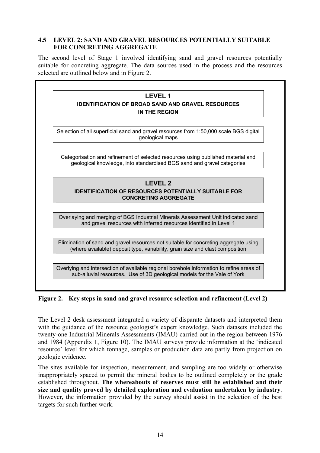### **4.5 LEVEL 2: SAND AND GRAVEL RESOURCES POTENTIALLY SUITABLE FOR CONCRETING AGGREGATE**

The second level of Stage 1 involved identifying sand and gravel resources potentially suitable for concreting aggregate. The data sources used in the process and the resources selected are outlined below and in Figure 2.

| <b>LEVEL 1</b>                                                                                                                                                        |
|-----------------------------------------------------------------------------------------------------------------------------------------------------------------------|
| <b>IDENTIFICATION OF BROAD SAND AND GRAVEL RESOURCES</b>                                                                                                              |
| <b>IN THE REGION</b>                                                                                                                                                  |
|                                                                                                                                                                       |
| Selection of all superficial sand and gravel resources from 1:50,000 scale BGS digital<br>geological maps                                                             |
|                                                                                                                                                                       |
| Categorisation and refinement of selected resources using published material and<br>geological knowledge, into standardised BGS sand and gravel categories            |
|                                                                                                                                                                       |
| <b>LEVEL 2</b>                                                                                                                                                        |
| <b>IDENTIFICATION OF RESOURCES POTENTIALLY SUITABLE FOR</b><br><b>CONCRETING AGGREGATE</b>                                                                            |
|                                                                                                                                                                       |
| Overlaying and merging of BGS Industrial Minerals Assessment Unit indicated sand<br>and gravel resources with inferred resources identified in Level 1                |
|                                                                                                                                                                       |
| Elimination of sand and gravel resources not suitable for concreting aggregate using<br>(where available) deposit type, variability, grain size and clast composition |
|                                                                                                                                                                       |

**Figure 2. Key steps in sand and gravel resource selection and refinement (Level 2)** 

The Level 2 desk assessment integrated a variety of disparate datasets and interpreted them with the guidance of the resource geologist's expert knowledge. Such datasets included the twenty-one Industrial Minerals Assessments (IMAU) carried out in the region between 1976 and 1984 (Appendix 1, Figure 10). The IMAU surveys provide information at the 'indicated resource' level for which tonnage, samples or production data are partly from projection on geologic evidence.

The sites available for inspection, measurement, and sampling are too widely or otherwise inappropriately spaced to permit the mineral bodies to be outlined completely or the grade established throughout. **The whereabouts of reserves must still be established and their size and quality proved by detailed exploration and evaluation undertaken by industry**. However, the information provided by the survey should assist in the selection of the best targets for such further work.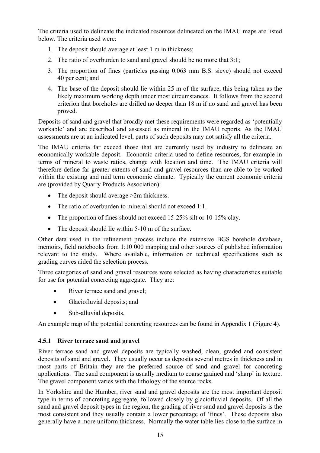The criteria used to delineate the indicated resources delineated on the IMAU maps are listed below. The criteria used were:

- 1. The deposit should average at least 1 m in thickness;
- 2. The ratio of overburden to sand and gravel should be no more that 3:1;
- 3. The proportion of fines (particles passing 0.063 mm B.S. sieve) should not exceed 40 per cent; and
- 4. The base of the deposit should lie within 25 m of the surface, this being taken as the likely maximum working depth under most circumstances. It follows from the second criterion that boreholes are drilled no deeper than 18 m if no sand and gravel has been proved.

Deposits of sand and gravel that broadly met these requirements were regarded as 'potentially workable' and are described and assessed as mineral in the IMAU reports. As the IMAU assessments are at an indicated level, parts of such deposits may not satisfy all the criteria.

The IMAU criteria far exceed those that are currently used by industry to delineate an economically workable deposit. Economic criteria used to define resources, for example in terms of mineral to waste ratios, change with location and time. The IMAU criteria will therefore define far greater extents of sand and gravel resources than are able to be worked within the existing and mid term economic climate. Typically the current economic criteria are (provided by Quarry Products Association):

- The deposit should average > 2m thickness.
- The ratio of overburden to mineral should not exceed  $1:1$ .
- The proportion of fines should not exceed 15-25% silt or 10-15% clay.
- The deposit should lie within 5-10 m of the surface.

Other data used in the refinement process include the extensive BGS borehole database, memoirs, field notebooks from 1:10 000 mapping and other sources of published information relevant to the study. Where available, information on technical specifications such as grading curves aided the selection process.

Three categories of sand and gravel resources were selected as having characteristics suitable for use for potential concreting aggregate. They are:

- River terrace sand and gravel;
- Glaciofluvial deposits; and
- Sub-alluvial deposits.

An example map of the potential concreting resources can be found in Appendix 1 (Figure 4).

#### **4.5.1 River terrace sand and gravel**

River terrace sand and gravel deposits are typically washed, clean, graded and consistent deposits of sand and gravel. They usually occur as deposits several metres in thickness and in most parts of Britain they are the preferred source of sand and gravel for concreting applications. The sand component is usually medium to coarse grained and 'sharp' in texture. The gravel component varies with the lithology of the source rocks.

In Yorkshire and the Humber, river sand and gravel deposits are the most important deposit type in terms of concreting aggregate, followed closely by glaciofluvial deposits. Of all the sand and gravel deposit types in the region, the grading of river sand and gravel deposits is the most consistent and they usually contain a lower percentage of 'fines'. These deposits also generally have a more uniform thickness. Normally the water table lies close to the surface in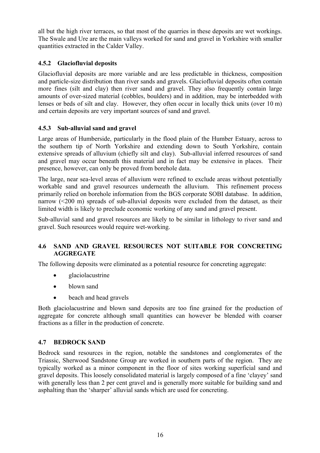all but the high river terraces, so that most of the quarries in these deposits are wet workings. The Swale and Ure are the main valleys worked for sand and gravel in Yorkshire with smaller quantities extracted in the Calder Valley.

### **4.5.2 Glaciofluvial deposits**

Glaciofluvial deposits are more variable and are less predictable in thickness, composition and particle-size distribution than river sands and gravels. Glaciofluvial deposits often contain more fines (silt and clay) then river sand and gravel. They also frequently contain large amounts of over-sized material (cobbles, boulders) and in addition, may be interbedded with lenses or beds of silt and clay. However, they often occur in locally thick units (over 10 m) and certain deposits are very important sources of sand and gravel.

#### **4.5.3 Sub-alluvial sand and gravel**

Large areas of Humberside, particularly in the flood plain of the Humber Estuary, across to the southern tip of North Yorkshire and extending down to South Yorkshire, contain extensive spreads of alluvium (chiefly silt and clay). Sub-alluvial inferred resources of sand and gravel may occur beneath this material and in fact may be extensive in places. Their presence, however, can only be proved from borehole data.

The large, near sea-level areas of alluvium were refined to exclude areas without potentially workable sand and gravel resources underneath the alluvium. This refinement process primarily relied on borehole information from the BGS corporate SOBI database. In addition, narrow (<200 m) spreads of sub-alluvial deposits were excluded from the dataset, as their limited width is likely to preclude economic working of any sand and gravel present.

Sub-alluvial sand and gravel resources are likely to be similar in lithology to river sand and gravel. Such resources would require wet-working.

#### **4.6 SAND AND GRAVEL RESOURCES NOT SUITABLE FOR CONCRETING AGGREGATE**

The following deposits were eliminated as a potential resource for concreting aggregate:

- glaciolacustrine
- blown sand
- beach and head gravels

Both glaciolacustrine and blown sand deposits are too fine grained for the production of aggregate for concrete although small quantities can however be blended with coarser fractions as a filler in the production of concrete.

#### **4.7 BEDROCK SAND**

Bedrock sand resources in the region, notable the sandstones and conglomerates of the Triassic, Sherwood Sandstone Group are worked in southern parts of the region. They are typically worked as a minor component in the floor of sites working superficial sand and gravel deposits. This loosely consolidated material is largely composed of a fine 'clayey' sand with generally less than 2 per cent gravel and is generally more suitable for building sand and asphalting than the 'sharper' alluvial sands which are used for concreting.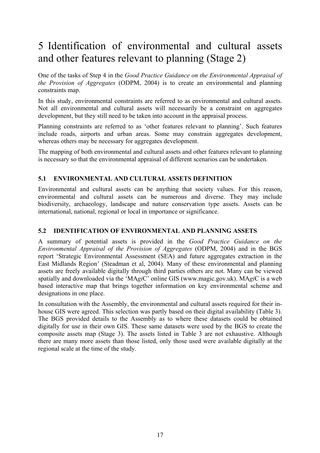## 5 Identification of environmental and cultural assets and other features relevant to planning (Stage 2)

One of the tasks of Step 4 in the *Good Practice Guidance on the Environmental Appraisal of the Provision of Aggregates* (ODPM, 2004) is to create an environmental and planning constraints map.

In this study, environmental constraints are referred to as environmental and cultural assets. Not all environmental and cultural assets will necessarily be a constraint on aggregates development, but they still need to be taken into account in the appraisal process.

Planning constraints are referred to as 'other features relevant to planning'. Such features include roads, airports and urban areas. Some may constrain aggregates development, whereas others may be necessary for aggregates development.

The mapping of both environmental and cultural assets and other features relevant to planning is necessary so that the environmental appraisal of different scenarios can be undertaken.

### **5.1 ENVIRONMENTAL AND CULTURAL ASSETS DEFINITION**

Environmental and cultural assets can be anything that society values. For this reason, environmental and cultural assets can be numerous and diverse. They may include biodiversity, archaeology, landscape and nature conservation type assets. Assets can be international, national, regional or local in importance or significance.

#### **5.2 IDENTIFICATION OF ENVIRONMENTAL AND PLANNING ASSETS**

A summary of potential assets is provided in the *Good Practice Guidance on the Environmental Appraisal of the Provision of Aggregates* (ODPM, 2004) and in the BGS report 'Strategic Environmental Assessment (SEA) and future aggregates extraction in the East Midlands Region' (Steadman et al, 2004). Many of these environmental and planning assets are freely available digitally through third parties others are not. Many can be viewed spatially and downloaded via the 'MA*gi*C' online GIS (www.magic.gov.uk). MA*gi*C is a web based interactive map that brings together information on key environmental scheme and designations in one place.

In consultation with the Assembly, the environmental and cultural assets required for their inhouse GIS were agreed. This selection was partly based on their digital availability (Table 3). The BGS provided details to the Assembly as to where these datasets could be obtained digitally for use in their own GIS. These same datasets were used by the BGS to create the composite assets map (Stage 3). The assets listed in Table 3 are not exhaustive. Although there are many more assets than those listed, only those used were available digitally at the regional scale at the time of the study.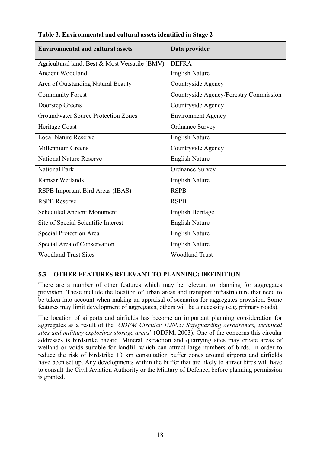| <b>Environmental and cultural assets</b>       | Data provider                          |
|------------------------------------------------|----------------------------------------|
| Agricultural land: Best & Most Versatile (BMV) | <b>DEFRA</b>                           |
| <b>Ancient Woodland</b>                        | <b>English Nature</b>                  |
| Area of Outstanding Natural Beauty             | Countryside Agency                     |
| <b>Community Forest</b>                        | Countryside Agency/Forestry Commission |
| Doorstep Greens                                | Countryside Agency                     |
| <b>Groundwater Source Protection Zones</b>     | <b>Environment Agency</b>              |
| Heritage Coast                                 | <b>Ordnance Survey</b>                 |
| <b>Local Nature Reserve</b>                    | <b>English Nature</b>                  |
| Millennium Greens                              | Countryside Agency                     |
| <b>National Nature Reserve</b>                 | <b>English Nature</b>                  |
| <b>National Park</b>                           | <b>Ordnance Survey</b>                 |
| <b>Ramsar Wetlands</b>                         | <b>English Nature</b>                  |
| RSPB Important Bird Areas (IBAS)               | <b>RSPB</b>                            |
| <b>RSPB Reserve</b>                            | <b>RSPB</b>                            |
| <b>Scheduled Ancient Monument</b>              | <b>English Heritage</b>                |
| Site of Special Scientific Interest            | <b>English Nature</b>                  |
| Special Protection Area                        | <b>English Nature</b>                  |
| Special Area of Conservation                   | <b>English Nature</b>                  |
| <b>Woodland Trust Sites</b>                    | <b>Woodland Trust</b>                  |

**Table 3. Environmental and cultural assets identified in Stage 2** 

### **5.3 OTHER FEATURES RELEVANT TO PLANNING: DEFINITION**

There are a number of other features which may be relevant to planning for aggregates provision. These include the location of urban areas and transport infrastructure that need to be taken into account when making an appraisal of scenarios for aggregates provision. Some features may limit development of aggregates, others will be a necessity (e.g. primary roads).

The location of airports and airfields has become an important planning consideration for aggregates as a result of the '*ODPM Circular 1/2003: Safeguarding aerodromes, technical sites and military explosives storage areas*' (ODPM, 2003). One of the concerns this circular addresses is birdstrike hazard. Mineral extraction and quarrying sites may create areas of wetland or voids suitable for landfill which can attract large numbers of birds. In order to reduce the risk of birdstrike 13 km consultation buffer zones around airports and airfields have been set up. Any developments within the buffer that are likely to attract birds will have to consult the Civil Aviation Authority or the Military of Defence, before planning permission is granted.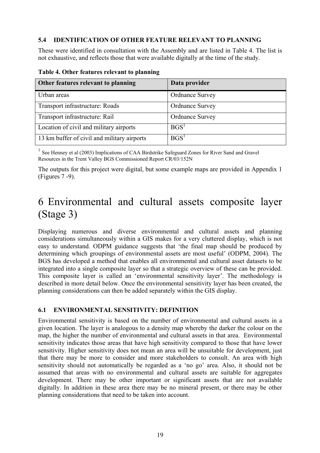#### **5.4 IDENTIFICATION OF OTHER FEATURE RELEVANT TO PLANNING**

These were identified in consultation with the Assembly and are listed in Table 4. The list is not exhaustive, and reflects those that were available digitally at the time of the study.

| Other features relevant to planning         | Data provider          |
|---------------------------------------------|------------------------|
| Urban areas                                 | <b>Ordnance Survey</b> |
| Transport infrastructure: Roads             | <b>Ordnance Survey</b> |
| Transport infrastructure: Rail              | <b>Ordnance Survey</b> |
| Location of civil and military airports     | BGS <sup>T</sup>       |
| 13 km buffer of civil and military airports | BGS <sup>1</sup>       |

**Table 4. Other features relevant to planning** 

<sup>1</sup> See Henney et al (2003) Implications of CAA Birdstrike Safeguard Zones for River Sand and Gravel Resources in the Trent Valley BGS Commissioned Report CR/03/152N

The outputs for this project were digital, but some example maps are provided in Appendix 1 (Figures 7 -9).

## 6 Environmental and cultural assets composite layer (Stage 3)

Displaying numerous and diverse environmental and cultural assets and planning considerations simultaneously within a GIS makes for a very cluttered display, which is not easy to understand. ODPM guidance suggests that 'the final map should be produced by determining which groupings of environmental assets are most useful' (ODPM, 2004). The BGS has developed a method that enables all environmental and cultural asset datasets to be integrated into a single composite layer so that a strategic overview of these can be provided. This composite layer is called an 'environmental sensitivity layer'. The methodology is described in more detail below. Once the environmental sensitivity layer has been created, the planning considerations can then be added separately within the GIS display.

### **6.1 ENVIRONMENTAL SENSITIVITY: DEFINITION**

Environmental sensitivity is based on the number of environmental and cultural assets in a given location. The layer is analogous to a density map whereby the darker the colour on the map, the higher the number of environmental and cultural assets in that area. Environmental sensitivity indicates those areas that have high sensitivity compared to those that have lower sensitivity. Higher sensitivity does not mean an area will be unsuitable for development, just that there may be more to consider and more stakeholders to consult. An area with high sensitivity should not automatically be regarded as a 'no go' area. Also, it should not be assumed that areas with no environmental and cultural assets are suitable for aggregates development. There may be other important or significant assets that are not available digitally. In addition in these area there may be no mineral present, or there may be other planning considerations that need to be taken into account.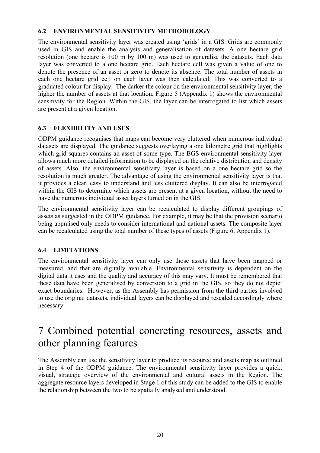### **6.2 ENVIRONMENTAL SENSITIVITY METHODOLOGY**

The environmental sensitivity layer was created using 'grids' in a GIS. Grids are commonly used in GIS and enable the analysis and generalisation of datasets. A one hectare grid resolution (one hectare is 100 m by 100 m) was used to generalise the datasets. Each data layer was converted to a one hectare grid. Each hectare cell was given a value of one to denote the presence of an asset or zero to denote its absence. The total number of assets in each one hectare grid cell on each layer was then calculated. This was converted to a graduated colour for display. The darker the colour on the environmental sensitivity layer, the higher the number of assets at that location. Figure 5 (Appendix 1) shows the environmental sensitivity for the Region. Within the GIS, the layer can be interrogated to list which assets are present at a given location.

### **6.3 FLEXIBILITY AND USES**

ODPM guidance recognises that maps can become very cluttered when numerous individual datasets are displayed. The guidance suggests overlaying a one kilometre grid that highlights which grid squares contains an asset of some type. The BGS environmental sensitivity layer allows much more detailed information to be displayed on the relative distribution and density of assets. Also, the environmental sensitivity layer is based on a one hectare grid so the resolution is much greater. The advantage of using the environmental sensitivity layer is that it provides a clear, easy to understand and less cluttered display. It can also be interrogated within the GIS to determine which assets are present at a given location, without the need to have the numerous individual asset layers turned on in the GIS.

The environmental sensitivity layer can be recalculated to display different groupings of assets as suggested in the ODPM guidance. For example, it may be that the provision scenario being appraised only needs to consider international and national assets. The composite layer can be recalculated using the total number of these types of assets (Figure 6, Appendix 1).

### **6.4 LIMITATIONS**

The environmental sensitivity layer can only use those assets that have been mapped or measured, and that are digitally available. Environmental sensitivity is dependent on the digital data it uses and the quality and accuracy of this may vary. It must be remembered that these data have been generalised by conversion to a grid in the GIS, so they do not depict exact boundaries. However, as the Assembly has permission from the third parties involved to use the original datasets, individual layers can be displayed and rescaled accordingly where necessary.

### 7 Combined potential concreting resources, assets and other planning features

The Assembly can use the sensitivity layer to produce its resource and assets map as outlined in Step 4 of the ODPM guidance. The environmental sensitivity layer provides a quick, visual, strategic overview of the environmental and cultural assets in the Region. The aggregate resource layers developed in Stage 1 of this study can be added to the GIS to enable the relationship between the two to be spatially analysed and understood.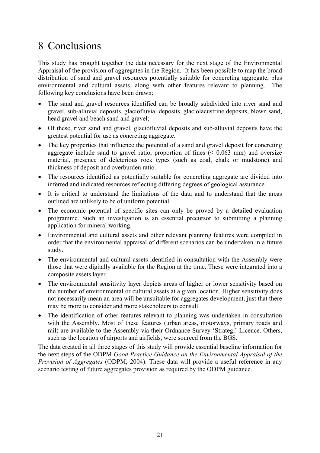## 8 Conclusions

This study has brought together the data necessary for the next stage of the Environmental Appraisal of the provision of aggregates in the Region. It has been possible to map the broad distribution of sand and gravel resources potentially suitable for concreting aggregate, plus environmental and cultural assets, along with other features relevant to planning. The following key conclusions have been drawn:

- The sand and gravel resources identified can be broadly subdivided into river sand and gravel, sub-alluvial deposits, glaciofluvial deposits, glaciolacustrine deposits, blown sand, head gravel and beach sand and gravel;
- Of these, river sand and gravel, glaciofluvial deposits and sub-alluvial deposits have the greatest potential for use as concreting aggregate.
- The key properties that influence the potential of a sand and gravel deposit for concreting aggregate include sand to gravel ratio, proportion of fines  $( $0.063 \text{ mm}$ )$  and oversize material, presence of deleterious rock types (such as coal, chalk or mudstone) and thickness of deposit and overburden ratio.
- The resources identified as potentially suitable for concreting aggregate are divided into inferred and indicated resources reflecting differing degrees of geological assurance.
- It is critical to understand the limitations of the data and to understand that the areas outlined are unlikely to be of uniform potential.
- The economic potential of specific sites can only be proved by a detailed evaluation programme. Such an investigation is an essential precursor to submitting a planning application for mineral working.
- Environmental and cultural assets and other relevant planning features were compiled in order that the environmental appraisal of different scenarios can be undertaken in a future study.
- The environmental and cultural assets identified in consultation with the Assembly were those that were digitally available for the Region at the time. These were integrated into a composite assets layer.
- The environmental sensitivity layer depicts areas of higher or lower sensitivity based on the number of environmental or cultural assets at a given location. Higher sensitivity does not necessarily mean an area will be unsuitable for aggregates development, just that there may be more to consider and more stakeholders to consult.
- The identification of other features relevant to planning was undertaken in consultation with the Assembly. Most of these features (urban areas, motorways, primary roads and rail) are available to the Assembly via their Ordnance Survey 'Strategi' Licence. Others, such as the location of airports and airfields, were sourced from the BGS.

The data created in all three stages of this study will provide essential baseline information for the next steps of the ODPM *Good Practice Guidance on the Environmental Appraisal of the Provision of Aggregates* (ODPM, 2004). These data will provide a useful reference in any scenario testing of future aggregates provision as required by the ODPM guidance.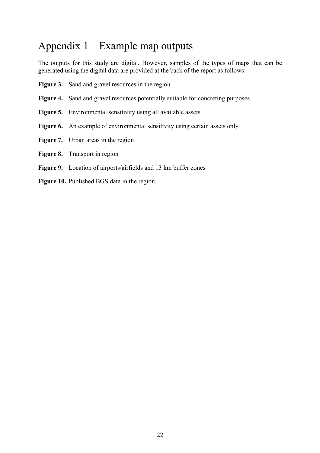## Appendix 1 Example map outputs

The outputs for this study are digital. However, samples of the types of maps that can be generated using the digital data are provided at the back of the report as follows:

| <b>Figure 3.</b> Sand and gravel resources in the region                                |
|-----------------------------------------------------------------------------------------|
| <b>Figure 4.</b> Sand and gravel resources potentially suitable for concreting purposes |
| <b>Figure 5.</b> Environmental sensitivity using all available assets                   |
| <b>Figure 6.</b> An example of environmental sensitivity using certain assets only      |
| <b>Figure 7.</b> Urban areas in the region                                              |
| <b>Figure 8.</b> Transport in region                                                    |
| <b>Figure 9.</b> Location of airports/airfields and 13 km buffer zones                  |
|                                                                                         |

**Figure 10.** Published BGS data in the region.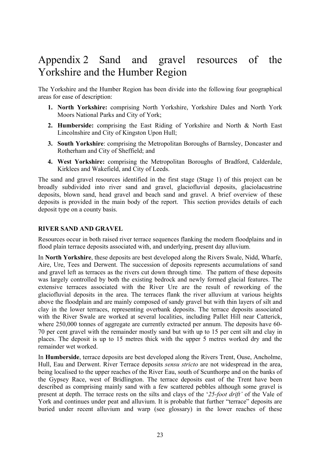### Appendix 2 Sand and gravel resources of the Yorkshire and the Humber Region

The Yorkshire and the Humber Region has been divide into the following four geographical areas for ease of description:

- **1. North Yorkshire:** comprising North Yorkshire, Yorkshire Dales and North York Moors National Parks and City of York;
- **2. Humberside:** comprising the East Riding of Yorkshire and North & North East Lincolnshire and City of Kingston Upon Hull;
- **3. South Yorkshire**: comprising the Metropolitan Boroughs of Barnsley, Doncaster and Rotherham and City of Sheffield; and
- **4. West Yorkshire:** comprising the Metropolitan Boroughs of Bradford, Calderdale, Kirklees and Wakefield, and City of Leeds.

The sand and gravel resources identified in the first stage (Stage 1) of this project can be broadly subdivided into river sand and gravel, glaciofluvial deposits, glaciolacustrine deposits, blown sand, head gravel and beach sand and gravel. A brief overview of these deposits is provided in the main body of the report. This section provides details of each deposit type on a county basis.

#### **RIVER SAND AND GRAVEL**

Resources occur in both raised river terrace sequences flanking the modern floodplains and in flood plain terrace deposits associated with, and underlying, present day alluvium.

In **North Yorkshire**, these deposits are best developed along the Rivers Swale, Nidd, Wharfe, Aire, Ure, Tees and Derwent. The succession of deposits represents accumulations of sand and gravel left as terraces as the rivers cut down through time. The pattern of these deposits was largely controlled by both the existing bedrock and newly formed glacial features. The extensive terraces associated with the River Ure are the result of reworking of the glaciofluvial deposits in the area. The terraces flank the river alluvium at various heights above the floodplain and are mainly composed of sandy gravel but with thin layers of silt and clay in the lower terraces, representing overbank deposits. The terrace deposits associated with the River Swale are worked at several localities, including Pallet Hill near Catterick, where 250,000 tonnes of aggregate are currently extracted per annum. The deposits have 60- 70 per cent gravel with the remainder mostly sand but with up to 15 per cent silt and clay in places. The deposit is up to 15 metres thick with the upper 5 metres worked dry and the remainder wet worked.

In **Humberside**, terrace deposits are best developed along the Rivers Trent, Ouse, Ancholme, Hull, Eau and Derwent. River Terrace deposits *sensu stricto* are not widespread in the area, being localised to the upper reaches of the River Eau, south of Scunthorpe and on the banks of the Gypsey Race, west of Bridlington. The terrace deposits east of the Trent have been described as comprising mainly sand with a few scattered pebbles although some gravel is present at depth. The terrace rests on the silts and clays of the '*25-foot drift'* of the Vale of York and continues under peat and alluvium. It is probable that further "terrace" deposits are buried under recent alluvium and warp (see glossary) in the lower reaches of these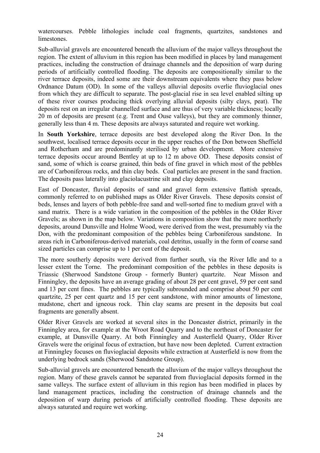watercourses. Pebble lithologies include coal fragments, quartzites, sandstones and limestones.

Sub-alluvial gravels are encountered beneath the alluvium of the major valleys throughout the region. The extent of alluvium in this region has been modified in places by land management practices, including the construction of drainage channels and the deposition of warp during periods of artificially controlled flooding. The deposits are compositionally similar to the river terrace deposits, indeed some are their downstream equivalents where they pass below Ordnance Datum (OD). In some of the valleys alluvial deposits overlie fluvioglacial ones from which they are difficult to separate. The post-glacial rise in sea level enabled silting up of these river courses producing thick overlying alluvial deposits (silty clays, peat). The deposits rest on an irregular channelled surface and are thus of very variable thickness; locally 20 m of deposits are present (e.g. Trent and Ouse valleys), but they are commonly thinner, generally less than 4 m. These deposits are always saturated and require wet working.

In **South Yorkshire**, terrace deposits are best developed along the River Don. In the southwest, localised terrace deposits occur in the upper reaches of the Don between Sheffield and Rotherham and are predominantly sterilised by urban development. More extensive terrace deposits occur around Bentley at up to 12 m above OD. These deposits consist of sand, some of which is coarse grained, thin beds of fine gravel in which most of the pebbles are of Carboniferous rocks, and thin clay beds. Coal particles are present in the sand fraction. The deposits pass laterally into glaciolacustrine silt and clay deposits.

East of Doncaster, fluvial deposits of sand and gravel form extensive flattish spreads, commonly referred to on published maps as Older River Gravels. These deposits consist of beds, lenses and layers of both pebble-free sand and well-sorted fine to medium gravel with a sand matrix. There is a wide variation in the composition of the pebbles in the Older River Gravels; as shown in the map below. Variations in composition show that the more northerly deposits, around Dunsville and Holme Wood, were derived from the west, presumably via the Don, with the predominant composition of the pebbles being Carboniferous sandstone. In areas rich in Carboniferous-derived materials, coal detritus, usually in the form of coarse sand sized particles can comprise up to 1 per cent of the deposit.

The more southerly deposits were derived from further south, via the River Idle and to a lesser extent the Torne. The predominant composition of the pebbles in these deposits is Triassic (Sherwood Sandstone Group - formerly Bunter) quartzite. Near Misson and Finningley, the deposits have an average grading of about 28 per cent gravel, 59 per cent sand and 13 per cent fines. The pebbles are typically subrounded and comprise about 50 per cent quartzite, 25 per cent quartz and 15 per cent sandstone, with minor amounts of limestone, mudstone, chert and igneous rock. Thin clay seams are present in the deposits but coal fragments are generally absent.

Older River Gravels are worked at several sites in the Doncaster district, primarily in the Finningley area, for example at the Wroot Road Quarry and to the northeast of Doncaster for example, at Dunsville Quarry. At both Finningley and Austerfield Quarry, Older River Gravels were the original focus of extraction, but have now been depleted. Current extraction at Finningley focuses on fluvioglacial deposits while extraction at Austerfield is now from the underlying bedrock sands (Sherwood Sandstone Group).

Sub-alluvial gravels are encountered beneath the alluvium of the major valleys throughout the region. Many of these gravels cannot be separated from fluvioglacial deposits formed in the same valleys. The surface extent of alluvium in this region has been modified in places by land management practices, including the construction of drainage channels and the deposition of warp during periods of artificially controlled flooding. These deposits are always saturated and require wet working.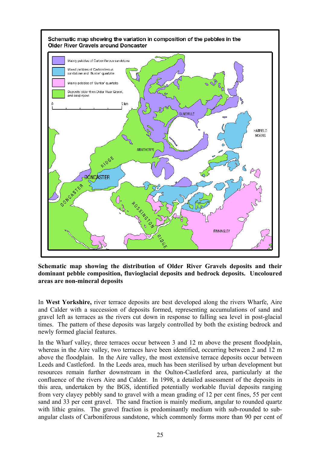

**Schematic map showing the distribution of Older River Gravels deposits and their dominant pebble composition, fluvioglacial deposits and bedrock deposits. Uncoloured areas are non-mineral deposits** 

In **West Yorkshire,** river terrace deposits are best developed along the rivers Wharfe, Aire and Calder with a succession of deposits formed, representing accumulations of sand and gravel left as terraces as the rivers cut down in response to falling sea level in post-glacial times. The pattern of these deposits was largely controlled by both the existing bedrock and newly formed glacial features.

In the Wharf valley, three terraces occur between 3 and 12 m above the present floodplain, whereas in the Aire valley, two terraces have been identified, occurring between 2 and 12 m above the floodplain. In the Aire valley, the most extensive terrace deposits occur between Leeds and Castleford. In the Leeds area, much has been sterilised by urban development but resources remain further downstream in the Oulton-Castleford area, particularly at the confluence of the rivers Aire and Calder. In 1998, a detailed assessment of the deposits in this area, undertaken by the BGS, identified potentially workable fluvial deposits ranging from very clayey pebbly sand to gravel with a mean grading of 12 per cent fines, 55 per cent sand and 33 per cent gravel. The sand fraction is mainly medium, angular to rounded quartz with lithic grains. The gravel fraction is predominantly medium with sub-rounded to subangular clasts of Carboniferous sandstone, which commonly forms more than 90 per cent of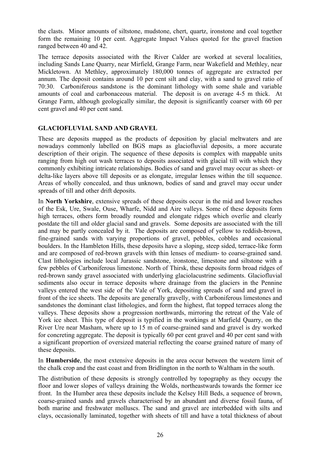the clasts. Minor amounts of siltstone, mudstone, chert, quartz, ironstone and coal together form the remaining 10 per cent. Aggregate Impact Values quoted for the gravel fraction ranged between 40 and 42.

The terrace deposits associated with the River Calder are worked at several localities, including Sands Lane Quarry, near Mirfield, Grange Farm, near Wakefield and Methley, near Mickletown. At Methley, approximately 180,000 tonnes of aggregate are extracted per annum. The deposit contains around 10 per cent silt and clay, with a sand to gravel ratio of 70:30. Carboniferous sandstone is the dominant lithology with some shale and variable amounts of coal and carbonaceous material. The deposit is on average 4-5 m thick. At Grange Farm, although geologically similar, the deposit is significantly coarser with 60 per cent gravel and 40 per cent sand.

#### **GLACIOFLUVIAL SAND AND GRAVEL**

These are deposits mapped as the products of deposition by glacial meltwaters and are nowadays commonly labelled on BGS maps as glaciofluvial deposits, a more accurate description of their origin. The sequence of these deposits is complex with mappable units ranging from high out wash terraces to deposits associated with glacial till with which they commonly exhibiting intricate relationships. Bodies of sand and gravel may occur as sheet- or delta-like layers above till deposits or as elongate, irregular lenses within the till sequence. Areas of wholly concealed, and thus unknown, bodies of sand and gravel may occur under spreads of till and other drift deposits.

In **North Yorkshire**, extensive spreads of these deposits occur in the mid and lower reaches of the Esk, Ure, Swale, Ouse, Wharfe, Nidd and Aire valleys. Some of these deposits form high terraces, others form broadly rounded and elongate ridges which overlie and clearly postdate the till and older glacial sand and gravels. Some deposits are associated with the till and may be partly concealed by it. The deposits are composed of yellow to reddish-brown, fine-grained sands with varying proportions of gravel, pebbles, cobbles and occasional boulders. In the Hambleton Hills, these deposits have a sloping, steep sided, terrace-like form and are composed of red-brown gravels with thin lenses of medium- to coarse-grained sand. Clast lithologies include local Jurassic sandstone, ironstone, limestone and siltstone with a few pebbles of Carboniferous limestone. North of Thirsk, these deposits form broad ridges of red-brown sandy gravel associated with underlying glaciolacustrine sediments. Glaciofluvial sediments also occur in terrace deposits where drainage from the glaciers in the Pennine valleys entered the west side of the Vale of York, depositing spreads of sand and gravel in front of the ice sheets. The deposits are generally gravelly, with Carboniferous limestones and sandstones the dominant clast lithologies, and form the highest, flat topped terraces along the valleys. These deposits show a progression northwards, mirroring the retreat of the Vale of York ice sheet. This type of deposit is typified in the workings at Marfield Quarry, on the River Ure near Masham, where up to 15 m of coarse-grained sand and gravel is dry worked for concreting aggregate. The deposit is typically 60 per cent gravel and 40 per cent sand with a significant proportion of oversized material reflecting the coarse grained nature of many of these deposits.

In **Humberside**, the most extensive deposits in the area occur between the western limit of the chalk crop and the east coast and from Bridlington in the north to Waltham in the south.

The distribution of these deposits is strongly controlled by topography as they occupy the floor and lower slopes of valleys draining the Wolds, northeastwards towards the former ice front. In the Humber area these deposits include the Kelsey Hill Beds, a sequence of brown, coarse-grained sands and gravels characterised by an abundant and diverse fossil fauna, of both marine and freshwater molluscs. The sand and gravel are interbedded with silts and clays, occasionally laminated, together with sheets of till and have a total thickness of about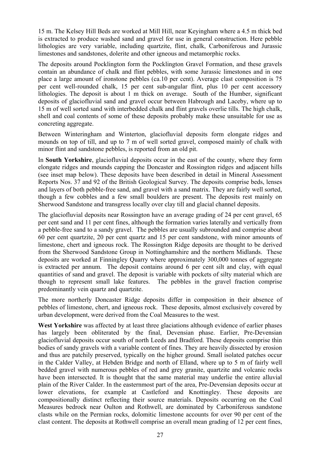15 m. The Kelsey Hill Beds are worked at Mill Hill, near Keyingham where a 4.5 m thick bed is extracted to produce washed sand and gravel for use in general construction. Here pebble lithologies are very variable, including quartzite, flint, chalk, Carboniferous and Jurassic limestones and sandstones, dolerite and other igneous and metamorphic rocks.

The deposits around Pocklington form the Pocklington Gravel Formation, and these gravels contain an abundance of chalk and flint pebbles, with some Jurassic limestones and in one place a large amount of ironstone pebbles (ca.10 per cent). Average clast composition is 75 per cent well-rounded chalk, 15 per cent sub-angular flint, plus 10 per cent accessory lithologies. The deposit is about 1 m thick on average. South of the Humber, significant deposits of glaciofluvial sand and gravel occur between Habrough and Laceby, where up to 15 m of well sorted sand with interbedded chalk and flint gravels overlie tills. The high chalk, shell and coal contents of some of these deposits probably make these unsuitable for use as concreting aggregate.

Between Winteringham and Winterton, glaciofluvial deposits form elongate ridges and mounds on top of till, and up to 7 m of well sorted gravel, composed mainly of chalk with minor flint and sandstone pebbles, is reported from an old pit.

In **South Yorkshire**, glaciofluvial deposits occur in the east of the county, where they form elongate ridges and mounds capping the Doncaster and Rossington ridges and adjacent hills (see inset map below). These deposits have been described in detail in Mineral Assessment Reports Nos. 37 and 92 of the British Geological Survey. The deposits comprise beds, lenses and layers of both pebble-free sand, and gravel with a sand matrix. They are fairly well sorted, though a few cobbles and a few small boulders are present. The deposits rest mainly on Sherwood Sandstone and transgress locally over clay till and glacial channel deposits.

The glaciofluvial deposits near Rossington have an average grading of 24 per cent gravel, 65 per cent sand and 11 per cent fines, although the formation varies laterally and vertically from a pebble-free sand to a sandy gravel. The pebbles are usually subrounded and comprise about 60 per cent quartzite, 20 per cent quartz and 15 per cent sandstone, with minor amounts of limestone, chert and igneous rock. The Rossington Ridge deposits are thought to be derived from the Sherwood Sandstone Group in Nottinghamshire and the northern Midlands. These deposits are worked at Finningley Quarry where approximately 300,000 tonnes of aggregate is extracted per annum. The deposit contains around 6 per cent silt and clay, with equal quantities of sand and gravel. The deposit is variable with pockets of silty material which are though to represent small lake features. The pebbles in the gravel fraction comprise predominantly vein quartz and quartzite.

The more northerly Doncaster Ridge deposits differ in composition in their absence of pebbles of limestone, chert, and igneous rock. These deposits, almost exclusively covered by urban development, were derived from the Coal Measures to the west.

**West Yorkshire** was affected by at least three glaciations although evidence of earlier phases has largely been obliterated by the final, Devensian phase. Earlier, Pre-Devensian glaciofluvial deposits occur south of north Leeds and Bradford. These deposits comprise thin bodies of sandy gravels with a variable content of fines. They are heavily dissected by erosion and thus are patchily preserved, typically on the higher ground. Small isolated patches occur in the Calder Valley, at Hebden Bridge and north of Elland, where up to 5 m of fairly well bedded gravel with numerous pebbles of red and grey granite, quartzite and volcanic rocks have been intersected. It is thought that the same material may underlie the entire alluvial plain of the River Calder. In the easternmost part of the area, Pre-Devensian deposits occur at lower elevations, for example at Castleford and Knottingley. These deposits are compositionally distinct reflecting their source materials. Deposits occurring on the Coal Measures bedrock near Oulton and Rothwell, are dominated by Carboniferous sandstone clasts while on the Permian rocks, dolomitic limestone accounts for over 90 per cent of the clast content. The deposits at Rothwell comprise an overall mean grading of 12 per cent fines,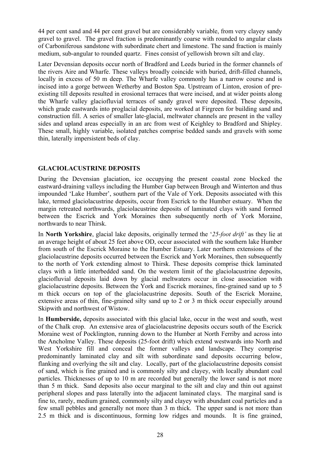44 per cent sand and 44 per cent gravel but are considerably variable, from very clayey sandy gravel to gravel. The gravel fraction is predominantly coarse with rounded to angular clasts of Carboniferous sandstone with subordinate chert and limestone. The sand fraction is mainly medium, sub-angular to rounded quartz. Fines consist of yellowish brown silt and clay.

Later Devensian deposits occur north of Bradford and Leeds buried in the former channels of the rivers Aire and Wharfe. These valleys broadly coincide with buried, drift-filled channels, locally in excess of 50 m deep. The Wharfe valley commonly has a narrow course and is incised into a gorge between Wetherby and Boston Spa. Upstream of Linton, erosion of preexisting till deposits resulted in erosional terraces that were incised, and at wider points along the Wharfe valley glaciofluvial terraces of sandy gravel were deposited. These deposits, which grade eastwards into proglacial deposits, are worked at Firgreen for building sand and construction fill. A series of smaller late-glacial, meltwater channels are present in the valley sides and upland areas especially in an arc from west of Keighley to Bradford and Shipley. These small, highly variable, isolated patches comprise bedded sands and gravels with some thin, laterally impersistent beds of clay.

#### **GLACIOLACUSTRINE DEPOSITS**

During the Devensian glaciation, ice occupying the present coastal zone blocked the eastward-draining valleys including the Humber Gap between Brough and Winterton and thus impounded 'Lake Humber', southern part of the Vale of York. Deposits associated with this lake, termed glaciolacustrine deposits, occur from Escrick to the Humber estuary. When the margin retreated northwards, glaciolacustrine deposits of laminated clays with sand formed between the Escrick and York Moraines then subsequently north of York Moraine, northwards to near Thirsk.

In **North Yorkshire**, glacial lake deposits, originally termed the '*25-foot drift'* as they lie at an average height of about 25 feet above OD, occur associated with the southern lake Humber from south of the Escrick Moraine to the Humber Estuary. Later northern extensions of the glaciolacustrine deposits occurred between the Escrick and York Moraines, then subsequently to the north of York extending almost to Thirsk. These deposits comprise thick laminated clays with a little interbedded sand. On the western limit of the glaciolacustrine deposits, glaciofluvial deposits laid down by glacial meltwaters occur in close association with glaciolacustrine deposits. Between the York and Escrick moraines, fine-grained sand up to 5 m thick occurs on top of the glaciolacustrine deposits. South of the Escrick Moraine, extensive areas of thin, fine-grained silty sand up to 2 or 3 m thick occur especially around Skipwith and northwest of Wistow.

In **Humberside,** deposits associated with this glacial lake, occur in the west and south, west of the Chalk crop. An extensive area of glaciolacustrine deposits occurs south of the Escrick Moraine west of Pocklington, running down to the Humber at North Ferriby and across into the Ancholme Valley. These deposits (25-foot drift) which extend westwards into North and West Yorkshire fill and conceal the former valleys and landscape. They comprise predominantly laminated clay and silt with subordinate sand deposits occurring below, flanking and overlying the silt and clay. Locally, part of the glaciolacustrine deposits consist of sand, which is fine grained and is commonly silty and clayey, with locally abundant coal particles. Thicknesses of up to 10 m are recorded but generally the lower sand is not more than 5 m thick. Sand deposits also occur marginal to the silt and clay and thin out against peripheral slopes and pass laterally into the adjacent laminated clays. The marginal sand is fine to, rarely, medium grained, commonly silty and clayey with abundant coal particles and a few small pebbles and generally not more than 3 m thick. The upper sand is not more than 2.5 m thick and is discontinuous, forming low ridges and mounds. It is fine grained,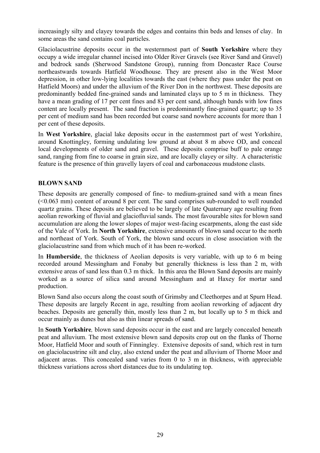increasingly silty and clayey towards the edges and contains thin beds and lenses of clay. In some areas the sand contains coal particles.

Glaciolacustrine deposits occur in the westernmost part of **South Yorkshire** where they occupy a wide irregular channel incised into Older River Gravels (see River Sand and Gravel) and bedrock sands (Sherwood Sandstone Group), running from Doncaster Race Course northeastwards towards Hatfield Woodhouse. They are present also in the West Moor depression, in other low-lying localities towards the east (where they pass under the peat on Hatfield Moors) and under the alluvium of the River Don in the northwest. These deposits are predominantly bedded fine-grained sands and laminated clays up to 5 m in thickness. They have a mean grading of 17 per cent fines and 83 per cent sand, although bands with low fines content are locally present. The sand fraction is predominantly fine-grained quartz; up to 35 per cent of medium sand has been recorded but coarse sand nowhere accounts for more than 1 per cent of these deposits.

In **West Yorkshire**, glacial lake deposits occur in the easternmost part of west Yorkshire, around Knottingley, forming undulating low ground at about 8 m above OD, and conceal local developments of older sand and gravel. These deposits comprise buff to pale orange sand, ranging from fine to coarse in grain size, and are locally clayey or silty. A characteristic feature is the presence of thin gravelly layers of coal and carbonaceous mudstone clasts.

### **BLOWN SAND**

These deposits are generally composed of fine- to medium-grained sand with a mean fines (<0.063 mm) content of around 8 per cent. The sand comprises sub-rounded to well rounded quartz grains. These deposits are believed to be largely of late Quaternary age resulting from aeolian reworking of fluvial and glaciofluvial sands. The most favourable sites for blown sand accumulation are along the lower slopes of major west-facing escarpments, along the east side of the Vale of York. In **North Yorkshire**, extensive amounts of blown sand occur to the north and northeast of York. South of York, the blown sand occurs in close association with the glaciolacustrine sand from which much of it has been re-worked.

In **Humberside**, the thickness of Aeolian deposits is very variable, with up to 6 m being recorded around Messingham and Fonaby but generally thickness is less than 2 m, with extensive areas of sand less than 0.3 m thick. In this area the Blown Sand deposits are mainly worked as a source of silica sand around Messingham and at Haxey for mortar sand production.

Blown Sand also occurs along the coast south of Grimsby and Cleethorpes and at Spurn Head. These deposits are largely Recent in age, resulting from aeolian reworking of adjacent dry beaches. Deposits are generally thin, mostly less than 2 m, but locally up to 5 m thick and occur mainly as dunes but also as thin linear spreads of sand.

In **South Yorkshire***,* blown sand deposits occur in the east and are largely concealed beneath peat and alluvium. The most extensive blown sand deposits crop out on the flanks of Thorne Moor, Hatfield Moor and south of Finningley. Extensive deposits of sand, which rest in turn on glaciolacustrine silt and clay, also extend under the peat and alluvium of Thorne Moor and adjacent areas. This concealed sand varies from 0 to 3 m in thickness, with appreciable thickness variations across short distances due to its undulating top.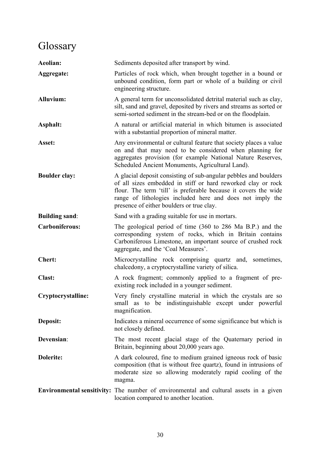# **Glossary**

| Aeolian:              | Sediments deposited after transport by wind.                                                                                                                                                                                                                                                                  |
|-----------------------|---------------------------------------------------------------------------------------------------------------------------------------------------------------------------------------------------------------------------------------------------------------------------------------------------------------|
| Aggregate:            | Particles of rock which, when brought together in a bound or<br>unbound condition, form part or whole of a building or civil<br>engineering structure.                                                                                                                                                        |
| <b>Alluvium:</b>      | A general term for unconsolidated detrital material such as clay,<br>silt, sand and gravel, deposited by rivers and streams as sorted or<br>semi-sorted sediment in the stream-bed or on the floodplain.                                                                                                      |
| Asphalt:              | A natural or artificial material in which bitumen is associated<br>with a substantial proportion of mineral matter.                                                                                                                                                                                           |
| Asset:                | Any environmental or cultural feature that society places a value<br>on and that may need to be considered when planning for<br>aggregates provision (for example National Nature Reserves,<br>Scheduled Ancient Monuments, Agricultural Land).                                                               |
| <b>Boulder clay:</b>  | A glacial deposit consisting of sub-angular pebbles and boulders<br>of all sizes embedded in stiff or hard reworked clay or rock<br>flour. The term 'till' is preferable because it covers the wide<br>range of lithologies included here and does not imply the<br>presence of either boulders or true clay. |
| <b>Building sand:</b> | Sand with a grading suitable for use in mortars.                                                                                                                                                                                                                                                              |
| <b>Carboniferous:</b> | The geological period of time (360 to 286 Ma B.P.) and the<br>corresponding system of rocks, which in Britain contains<br>Carboniferous Limestone, an important source of crushed rock<br>aggregate, and the 'Coal Measures'.                                                                                 |
| <b>Chert:</b>         | Microcrystalline rock comprising quartz and, sometimes,<br>chalcedony, a cryptocrystalline variety of silica.                                                                                                                                                                                                 |
| <b>Clast:</b>         | A rock fragment; commonly applied to a fragment of pre-<br>existing rock included in a younger sediment.                                                                                                                                                                                                      |
| Cryptocrystalline:    | Very finely crystalline material in which the crystals are so<br>small as to be indistinguishable except under powerful<br>magnification.                                                                                                                                                                     |
| Deposit:              | Indicates a mineral occurrence of some significance but which is<br>not closely defined.                                                                                                                                                                                                                      |
| Devensian:            | The most recent glacial stage of the Quaternary period in<br>Britain, beginning about 20,000 years ago.                                                                                                                                                                                                       |
| <b>Dolerite:</b>      | A dark coloured, fine to medium grained igneous rock of basic<br>composition (that is without free quartz), found in intrusions of<br>moderate size so allowing moderately rapid cooling of the<br>magma.                                                                                                     |
|                       | <b>Environmental sensitivity:</b> The number of environmental and cultural assets in a given<br>location compared to another location.                                                                                                                                                                        |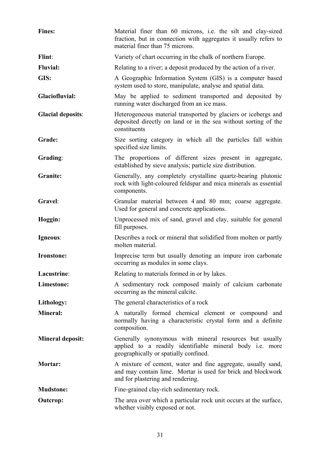| <b>Fines:</b>            | Material finer than 60 microns, i.e. the silt and clay-sized<br>fraction, but in connection with aggregates it usually refers to<br>material finer than 75 microns. |
|--------------------------|---------------------------------------------------------------------------------------------------------------------------------------------------------------------|
| Flint:                   | Variety of chart occurring in the chalk of northern Europe.                                                                                                         |
| <b>Fluvial:</b>          | Relating to a river; a deposit produced by the action of a river.                                                                                                   |
| GIS:                     | A Geographic Information System (GIS) is a computer based<br>system used to store, manipulate, analyse and spatial data.                                            |
| Glaciofluvial:           | May be applied to sediment transported and deposited by<br>running water discharged from an ice mass.                                                               |
| <b>Glacial deposits:</b> | Heterogeneous material transported by glaciers or icebergs and<br>deposited directly on land or in the sea without sorting of the<br>constituents                   |
| Grade:                   | Size sorting category in which all the particles fall within<br>specified size limits.                                                                              |
| Grading:                 | The proportions of different sizes present in aggregate,<br>established by sieve analysis; particle size distribution.                                              |
| <b>Granite:</b>          | Generally, any completely crystalline quartz-bearing plutonic<br>rock with light-coloured feldspar and mica minerals as essential<br>components.                    |
| Gravel:                  | Granular material between 4 and 80 mm; coarse aggregate.<br>Used for general and concrete applications.                                                             |
| Hoggin:                  | Unprocessed mix of sand, gravel and clay, suitable for general<br>fill purposes.                                                                                    |
| Igneous:                 | Describes a rock or mineral that solidified from molten or partly<br>molten material.                                                                               |
| Ironstone:               | Imprecise term but usually denoting an impure iron carbonate<br>occurring as modules in some clays.                                                                 |
| Lacustrine:              | Relating to materials formed in or by lakes.                                                                                                                        |
| Limestone:               | A sedimentary rock composed mainly of calcium carbonate<br>occurring as the mineral calcite.                                                                        |
| Lithology:               | The general characteristics of a rock                                                                                                                               |
| <b>Mineral:</b>          | A naturally formed chemical element or compound and<br>normally having a characteristic crystal form and a definite<br>composition.                                 |
| <b>Mineral deposit:</b>  | Generally synonymous with mineral resources but usually<br>applied to a readily identifiable mineral body i.e. more<br>geographically or spatially confined.        |
| Mortar:                  | A mixture of cement, water and fine aggregate, usually sand,<br>and may contain lime. Mortar is used for brick and blockwork<br>and for plastering and rendering.   |
| <b>Mudstone:</b>         | Fine-grained clay-rich sedimentary rock.                                                                                                                            |
| <b>Outcrop:</b>          | The area over which a particular rock unit occurs at the surface,<br>whether visibly exposed or not.                                                                |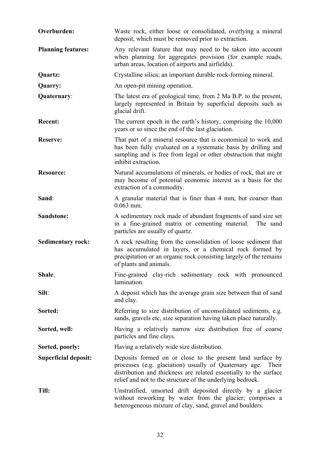| Overburden:               | Waste rock, either loose or consolidated, overlying a mineral<br>deposit, which must be removed prior to extraction.                                                                                                                                             |
|---------------------------|------------------------------------------------------------------------------------------------------------------------------------------------------------------------------------------------------------------------------------------------------------------|
| <b>Planning features:</b> | Any relevant feature that may need to be taken into account<br>when planning for aggregates provision (for example roads,<br>urban areas, location of airports and airfields).                                                                                   |
| Quartz:                   | Crystalline silica; an important durable rock-forming mineral.                                                                                                                                                                                                   |
| Quarry:                   | An open-pit mining operation.                                                                                                                                                                                                                                    |
| Quaternary:               | The latest era of geological time, from 2 Ma B.P. to the present,<br>largely represented in Britain by superficial deposits such as<br>glacial drift.                                                                                                            |
| <b>Recent:</b>            | The current epoch in the earth's history, comprising the 10,000<br>years or so since the end of the last glaciation.                                                                                                                                             |
| <b>Reserve:</b>           | That part of a mineral resource that is economical to work and<br>has been fully evaluated on a systematic basis by drilling and<br>sampling and is free from legal or other obstruction that might<br>inhibit extraction.                                       |
| <b>Resource:</b>          | Natural accumulations of minerals, or bodies of rock, that are or<br>may become of potential economic interest as a basis for the<br>extraction of a commodity.                                                                                                  |
| Sand:                     | A granular material that is finer than 4 mm, but coarser than<br>$0.063$ mm.                                                                                                                                                                                     |
| <b>Sandstone:</b>         | A sedimentary rock made of abundant fragments of sand size set<br>in a fine-grained matrix or cementing material.<br>The sand<br>particles are usually of quartz.                                                                                                |
| <b>Sedimentary rock:</b>  | A rock resulting from the consolidation of loose sediment that<br>has accumulated in layers, or a chemical rock formed by<br>precipitation or an organic rock consisting largely of the remains<br>of plants and animals.                                        |
| Shale:                    | Fine-grained clay-rich sedimentary rock with pronounced<br>lamination.                                                                                                                                                                                           |
| Silt:                     | A deposit which has the average grain size between that of sand<br>and clay.                                                                                                                                                                                     |
| Sorted:                   | Referring to size distribution of unconsolidated sediments, e.g.<br>sands, gravels etc, size separation having taken place naturally.                                                                                                                            |
| Sorted, well:             | Having a relatively narrow size distribution free of coarse<br>particles and fine clays.                                                                                                                                                                         |
| Sorted, poorly:           | Having a relatively wide size distribution.                                                                                                                                                                                                                      |
| Superficial deposit:      | Deposits formed on or close to the present land surface by<br>processes (e.g. glaciation) usually of Quaternary age.<br>Their<br>distribution and thickness are related essentially to the surface<br>relief and not to the structure of the underlying bedrock. |
| Till:                     | Unstratified, unsorted drift deposited directly by a glacier<br>without reworking by water from the glacier; comprises a<br>heterogeneous mixture of clay, sand, gravel and boulders.                                                                            |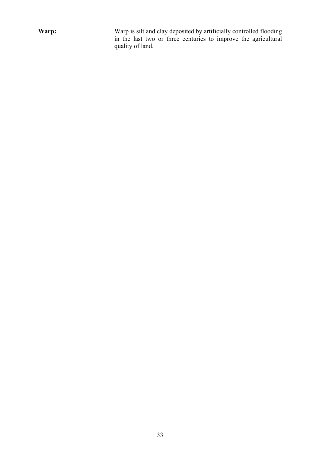**Warp:** Warp is silt and clay deposited by artificially controlled flooding in the last two or three centuries to improve the agricultural quality of land.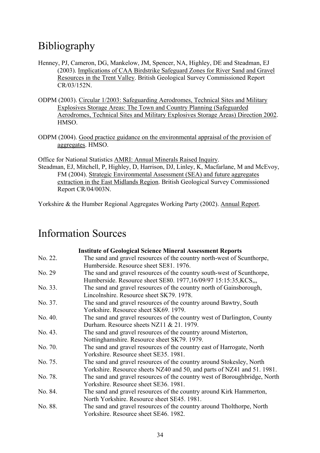## Bibliography

- Henney, PJ, Cameron, DG, Mankelow, JM, Spencer, NA, Highley, DE and Steadman, EJ (2003). Implications of CAA Birdstrike Safeguard Zones for River Sand and Gravel Resources in the Trent Valley. British Geological Survey Commissioned Report CR/03/152N.
- ODPM (2003). Circular 1/2003: Safeguarding Aerodromes, Technical Sites and Military Explosives Storage Areas: The Town and Country Planning (Safeguarded Aerodromes, Technical Sites and Military Explosives Storage Areas) Direction 2002. HMSO.
- ODPM (2004). Good practice guidance on the environmental appraisal of the provision of aggregates. HMSO.

Office for National Statistics AMRI: Annual Minerals Raised Inquiry. Steadman, EJ, Mitchell, P, Highley, D, Harrison, DJ, Linley, K, Macfarlane, M and McEvoy, FM (2004). Strategic Environmental Assessment (SEA) and future aggregates extraction in the East Midlands Region. British Geological Survey Commissioned Report CR/04/003N.

Yorkshire & the Humber Regional Aggregates Working Party (2002). Annual Report.

## Information Sources

|         | <b>Institute of Geological Science Mineral Assessment Reports</b>         |
|---------|---------------------------------------------------------------------------|
| No. 22. | The sand and gravel resources of the country north-west of Scunthorpe,    |
|         | Humberside. Resource sheet SE81, 1976.                                    |
| No. 29  | The sand and gravel resources of the country south-west of Scunthorpe,    |
|         | Humberside. Resource sheet SE80. 1977,16/09/97 15:15:35, KCS,,,           |
| No. 33. | The sand and gravel resources of the country north of Gainsborough,       |
|         | Lincolnshire. Resource sheet SK79, 1978.                                  |
| No. 37. | The sand and gravel resources of the country around Bawtry, South         |
|         | Yorkshire. Resource sheet SK69, 1979.                                     |
| No. 40. | The sand and gravel resources of the country west of Darlington, County   |
|         | Durham. Resource sheets NZ11 & 21, 1979.                                  |
| No. 43. | The sand and gravel resources of the country around Misterton,            |
|         | Nottinghamshire. Resource sheet SK79. 1979.                               |
| No. 70. | The sand and gravel resources of the country east of Harrogate, North     |
|         | Yorkshire. Resource sheet SE35, 1981.                                     |
| No. 75. | The sand and gravel resources of the country around Stokesley, North      |
|         | Yorkshire. Resource sheets NZ40 and 50, and parts of NZ41 and 51. 1981.   |
| No. 78. | The sand and gravel resources of the country west of Boroughbridge, North |
|         | Yorkshire. Resource sheet SE36. 1981.                                     |
| No. 84. | The sand and gravel resources of the country around Kirk Hammerton,       |
|         | North Yorkshire. Resource sheet SE45, 1981.                               |
| No. 88. | The sand and gravel resources of the country around Tholthorpe, North     |
|         | Yorkshire. Resource sheet SE46. 1982.                                     |